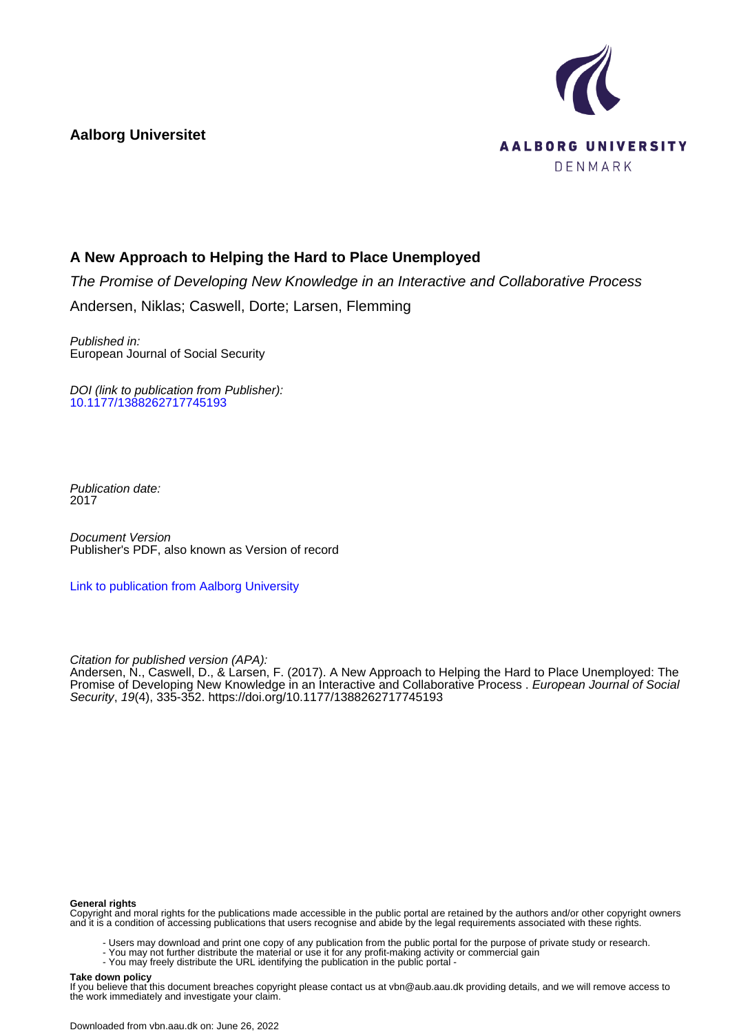**Aalborg Universitet**



# **A New Approach to Helping the Hard to Place Unemployed**

The Promise of Developing New Knowledge in an Interactive and Collaborative Process Andersen, Niklas; Caswell, Dorte; Larsen, Flemming

Published in: European Journal of Social Security

DOI (link to publication from Publisher): [10.1177/1388262717745193](https://doi.org/10.1177/1388262717745193)

Publication date: 2017

Document Version Publisher's PDF, also known as Version of record

[Link to publication from Aalborg University](https://vbn.aau.dk/en/publications/943da82d-1cfd-4871-b7af-2ad00a37a57c)

Citation for published version (APA):

Andersen, N., Caswell, D., & Larsen, F. (2017). A New Approach to Helping the Hard to Place Unemployed: The Promise of Developing New Knowledge in an Interactive and Collaborative Process . European Journal of Social Security, 19(4), 335-352. <https://doi.org/10.1177/1388262717745193>

#### **General rights**

Copyright and moral rights for the publications made accessible in the public portal are retained by the authors and/or other copyright owners and it is a condition of accessing publications that users recognise and abide by the legal requirements associated with these rights.

- Users may download and print one copy of any publication from the public portal for the purpose of private study or research.
- You may not further distribute the material or use it for any profit-making activity or commercial gain
	- You may freely distribute the URL identifying the publication in the public portal -

#### **Take down policy**

If you believe that this document breaches copyright please contact us at vbn@aub.aau.dk providing details, and we will remove access to the work immediately and investigate your claim.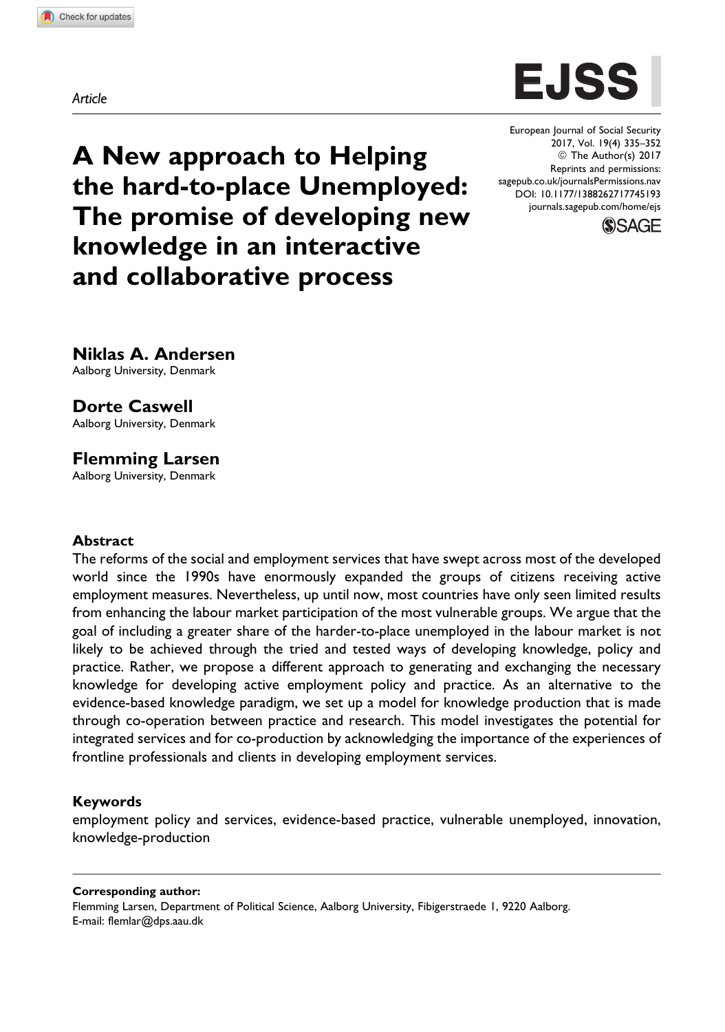

European Journal of Social Security 2017, Vol. 19(4) 335–352 © The Author(s) 2017 Reprints and permissions: [sagepub.co.uk/journalsPermissions.nav](https://uk.sagepub.com/en-gb/journals-permissions) [DOI: 10.1177/1388262717745193](https://doi.org/10.1177/1388262717745193) [journals.sagepub.com/home/ejs](http://journals.sagepub.com/home/ejs)



A New approach to Helping the hard-to-place Unemployed: The promise of developing new knowledge in an interactive and collaborative process

Niklas A. Andersen

Aalborg University, Denmark

Dorte Caswell

Aalborg University, Denmark

### Flemming Larsen

Aalborg University, Denmark

#### **Abstract**

The reforms of the social and employment services that have swept across most of the developed world since the 1990s have enormously expanded the groups of citizens receiving active employment measures. Nevertheless, up until now, most countries have only seen limited results from enhancing the labour market participation of the most vulnerable groups. We argue that the goal of including a greater share of the harder-to-place unemployed in the labour market is not likely to be achieved through the tried and tested ways of developing knowledge, policy and practice. Rather, we propose a different approach to generating and exchanging the necessary knowledge for developing active employment policy and practice. As an alternative to the evidence-based knowledge paradigm, we set up a model for knowledge production that is made through co-operation between practice and research. This model investigates the potential for integrated services and for co-production by acknowledging the importance of the experiences of frontline professionals and clients in developing employment services.

### Keywords

employment policy and services, evidence-based practice, vulnerable unemployed, innovation, knowledge-production

#### Corresponding author:

Flemming Larsen, Department of Political Science, Aalborg University, Fibigerstraede 1, 9220 Aalborg. E-mail: flemlar@dps.aau.dk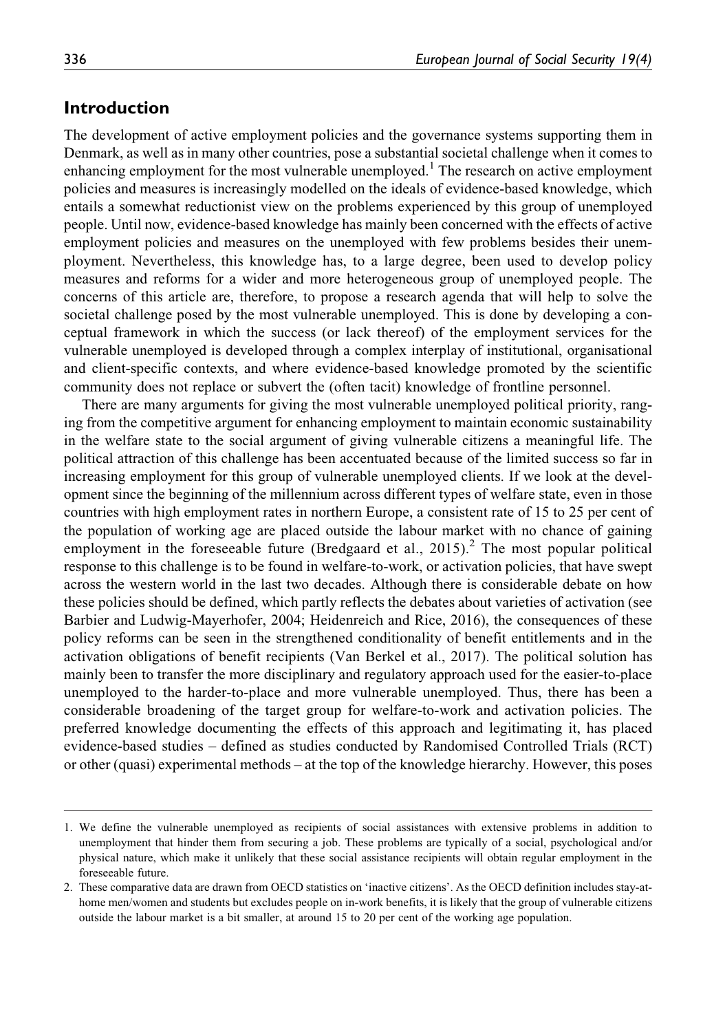## Introduction

The development of active employment policies and the governance systems supporting them in Denmark, as well as in many other countries, pose a substantial societal challenge when it comes to enhancing employment for the most vulnerable unemployed.<sup>1</sup> The research on active employment policies and measures is increasingly modelled on the ideals of evidence-based knowledge, which entails a somewhat reductionist view on the problems experienced by this group of unemployed people. Until now, evidence-based knowledge has mainly been concerned with the effects of active employment policies and measures on the unemployed with few problems besides their unemployment. Nevertheless, this knowledge has, to a large degree, been used to develop policy measures and reforms for a wider and more heterogeneous group of unemployed people. The concerns of this article are, therefore, to propose a research agenda that will help to solve the societal challenge posed by the most vulnerable unemployed. This is done by developing a conceptual framework in which the success (or lack thereof) of the employment services for the vulnerable unemployed is developed through a complex interplay of institutional, organisational and client-specific contexts, and where evidence-based knowledge promoted by the scientific community does not replace or subvert the (often tacit) knowledge of frontline personnel.

There are many arguments for giving the most vulnerable unemployed political priority, ranging from the competitive argument for enhancing employment to maintain economic sustainability in the welfare state to the social argument of giving vulnerable citizens a meaningful life. The political attraction of this challenge has been accentuated because of the limited success so far in increasing employment for this group of vulnerable unemployed clients. If we look at the development since the beginning of the millennium across different types of welfare state, even in those countries with high employment rates in northern Europe, a consistent rate of 15 to 25 per cent of the population of working age are placed outside the labour market with no chance of gaining employment in the foreseeable future (Bredgaard et al.,  $2015$ ).<sup>2</sup> The most popular political response to this challenge is to be found in welfare-to-work, or activation policies, that have swept across the western world in the last two decades. Although there is considerable debate on how these policies should be defined, which partly reflects the debates about varieties of activation (see Barbier and Ludwig-Mayerhofer, 2004; Heidenreich and Rice, 2016), the consequences of these policy reforms can be seen in the strengthened conditionality of benefit entitlements and in the activation obligations of benefit recipients (Van Berkel et al., 2017). The political solution has mainly been to transfer the more disciplinary and regulatory approach used for the easier-to-place unemployed to the harder-to-place and more vulnerable unemployed. Thus, there has been a considerable broadening of the target group for welfare-to-work and activation policies. The preferred knowledge documenting the effects of this approach and legitimating it, has placed evidence-based studies – defined as studies conducted by Randomised Controlled Trials (RCT) or other (quasi) experimental methods – at the top of the knowledge hierarchy. However, this poses

<sup>1.</sup> We define the vulnerable unemployed as recipients of social assistances with extensive problems in addition to unemployment that hinder them from securing a job. These problems are typically of a social, psychological and/or physical nature, which make it unlikely that these social assistance recipients will obtain regular employment in the foreseeable future.

<sup>2.</sup> These comparative data are drawn from OECD statistics on 'inactive citizens'. As the OECD definition includes stay-athome men/women and students but excludes people on in-work benefits, it is likely that the group of vulnerable citizens outside the labour market is a bit smaller, at around 15 to 20 per cent of the working age population.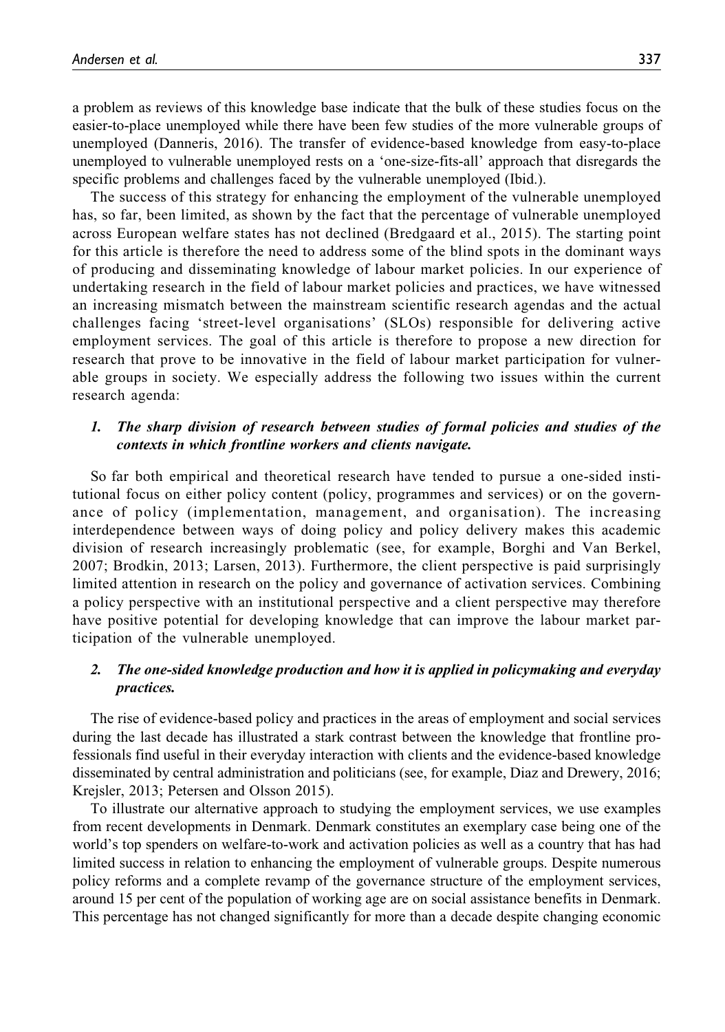specific problems and challenges faced by the vulnerable unemployed (Ibid.). The success of this strategy for enhancing the employment of the vulnerable unemployed has, so far, been limited, as shown by the fact that the percentage of vulnerable unemployed across European welfare states has not declined (Bredgaard et al., 2015). The starting point for this article is therefore the need to address some of the blind spots in the dominant ways of producing and disseminating knowledge of labour market policies. In our experience of undertaking research in the field of labour market policies and practices, we have witnessed an increasing mismatch between the mainstream scientific research agendas and the actual challenges facing 'street-level organisations' (SLOs) responsible for delivering active employment services. The goal of this article is therefore to propose a new direction for research that prove to be innovative in the field of labour market participation for vulnerable groups in society. We especially address the following two issues within the current research agenda:

### 1. The sharp division of research between studies of formal policies and studies of the contexts in which frontline workers and clients navigate.

So far both empirical and theoretical research have tended to pursue a one-sided institutional focus on either policy content (policy, programmes and services) or on the governance of policy (implementation, management, and organisation). The increasing interdependence between ways of doing policy and policy delivery makes this academic division of research increasingly problematic (see, for example, Borghi and Van Berkel, 2007; Brodkin, 2013; Larsen, 2013). Furthermore, the client perspective is paid surprisingly limited attention in research on the policy and governance of activation services. Combining a policy perspective with an institutional perspective and a client perspective may therefore have positive potential for developing knowledge that can improve the labour market participation of the vulnerable unemployed.

### 2. The one-sided knowledge production and how it is applied in policymaking and everyday practices.

The rise of evidence-based policy and practices in the areas of employment and social services during the last decade has illustrated a stark contrast between the knowledge that frontline professionals find useful in their everyday interaction with clients and the evidence-based knowledge disseminated by central administration and politicians (see, for example, Diaz and Drewery, 2016; Kreisler, 2013; Petersen and Olsson 2015).

To illustrate our alternative approach to studying the employment services, we use examples from recent developments in Denmark. Denmark constitutes an exemplary case being one of the world's top spenders on welfare-to-work and activation policies as well as a country that has had limited success in relation to enhancing the employment of vulnerable groups. Despite numerous policy reforms and a complete revamp of the governance structure of the employment services, around 15 per cent of the population of working age are on social assistance benefits in Denmark. This percentage has not changed significantly for more than a decade despite changing economic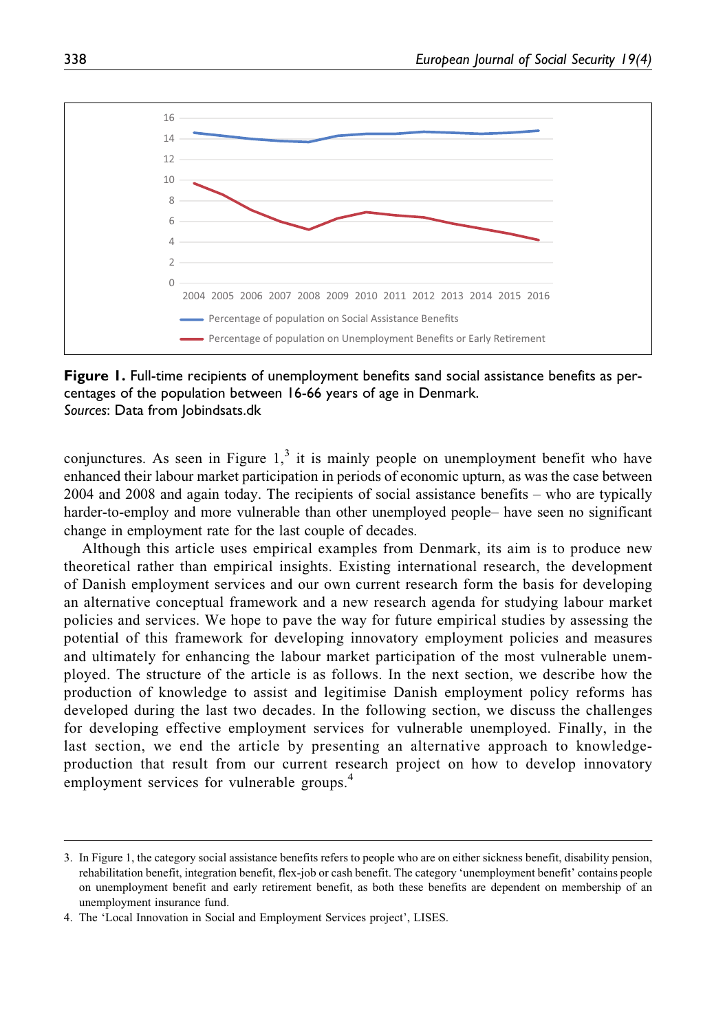

Figure 1. Full-time recipients of unemployment benefits sand social assistance benefits as percentages of the population between 16-66 years of age in Denmark. Sources: Data from [Jobindsats.dk](http://Jobindsats.dk)

conjunctures. As seen in Figure  $1<sup>3</sup>$  it is mainly people on unemployment benefit who have enhanced their labour market participation in periods of economic upturn, as was the case between 2004 and 2008 and again today. The recipients of social assistance benefits – who are typically harder-to-employ and more vulnerable than other unemployed people– have seen no significant change in employment rate for the last couple of decades.

Although this article uses empirical examples from Denmark, its aim is to produce new theoretical rather than empirical insights. Existing international research, the development of Danish employment services and our own current research form the basis for developing an alternative conceptual framework and a new research agenda for studying labour market policies and services. We hope to pave the way for future empirical studies by assessing the potential of this framework for developing innovatory employment policies and measures and ultimately for enhancing the labour market participation of the most vulnerable unemployed. The structure of the article is as follows. In the next section, we describe how the production of knowledge to assist and legitimise Danish employment policy reforms has developed during the last two decades. In the following section, we discuss the challenges for developing effective employment services for vulnerable unemployed. Finally, in the last section, we end the article by presenting an alternative approach to knowledgeproduction that result from our current research project on how to develop innovatory employment services for vulnerable groups.<sup>4</sup>

<sup>3.</sup> In Figure 1, the category social assistance benefits refers to people who are on either sickness benefit, disability pension, rehabilitation benefit, integration benefit, flex-job or cash benefit. The category 'unemployment benefit' contains people on unemployment benefit and early retirement benefit, as both these benefits are dependent on membership of an unemployment insurance fund.

<sup>4.</sup> The 'Local Innovation in Social and Employment Services project', LISES.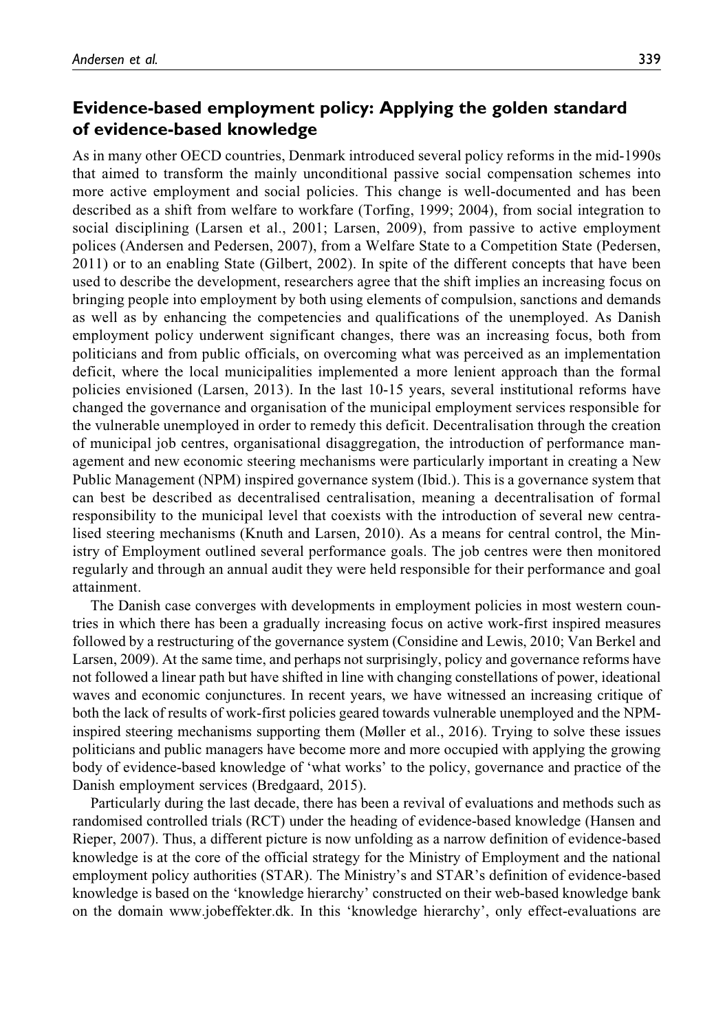# Evidence-based employment policy: Applying the golden standard of evidence-based knowledge

As in many other OECD countries, Denmark introduced several policy reforms in the mid-1990s that aimed to transform the mainly unconditional passive social compensation schemes into more active employment and social policies. This change is well-documented and has been described as a shift from welfare to workfare (Torfing, 1999; 2004), from social integration to social disciplining (Larsen et al., 2001; Larsen, 2009), from passive to active employment polices (Andersen and Pedersen, 2007), from a Welfare State to a Competition State (Pedersen, 2011) or to an enabling State (Gilbert, 2002). In spite of the different concepts that have been used to describe the development, researchers agree that the shift implies an increasing focus on bringing people into employment by both using elements of compulsion, sanctions and demands as well as by enhancing the competencies and qualifications of the unemployed. As Danish employment policy underwent significant changes, there was an increasing focus, both from politicians and from public officials, on overcoming what was perceived as an implementation deficit, where the local municipalities implemented a more lenient approach than the formal policies envisioned (Larsen, 2013). In the last 10-15 years, several institutional reforms have changed the governance and organisation of the municipal employment services responsible for the vulnerable unemployed in order to remedy this deficit. Decentralisation through the creation of municipal job centres, organisational disaggregation, the introduction of performance management and new economic steering mechanisms were particularly important in creating a New Public Management (NPM) inspired governance system (Ibid.). This is a governance system that can best be described as decentralised centralisation, meaning a decentralisation of formal responsibility to the municipal level that coexists with the introduction of several new centralised steering mechanisms (Knuth and Larsen, 2010). As a means for central control, the Ministry of Employment outlined several performance goals. The job centres were then monitored regularly and through an annual audit they were held responsible for their performance and goal attainment.

The Danish case converges with developments in employment policies in most western countries in which there has been a gradually increasing focus on active work-first inspired measures followed by a restructuring of the governance system (Considine and Lewis, 2010; Van Berkel and Larsen, 2009). At the same time, and perhaps not surprisingly, policy and governance reforms have not followed a linear path but have shifted in line with changing constellations of power, ideational waves and economic conjunctures. In recent years, we have witnessed an increasing critique of both the lack of results of work-first policies geared towards vulnerable unemployed and the NPMinspired steering mechanisms supporting them (Møller et al., 2016). Trying to solve these issues politicians and public managers have become more and more occupied with applying the growing body of evidence-based knowledge of 'what works' to the policy, governance and practice of the Danish employment services (Bredgaard, 2015).

Particularly during the last decade, there has been a revival of evaluations and methods such as randomised controlled trials (RCT) under the heading of evidence-based knowledge (Hansen and Rieper, 2007). Thus, a different picture is now unfolding as a narrow definition of evidence-based knowledge is at the core of the official strategy for the Ministry of Employment and the national employment policy authorities (STAR). The Ministry's and STAR's definition of evidence-based knowledge is based on the 'knowledge hierarchy' constructed on their web-based knowledge bank on the domain [www.jobeffekter.dk](http://www.jobeffekter.dk). In this 'knowledge hierarchy', only effect-evaluations are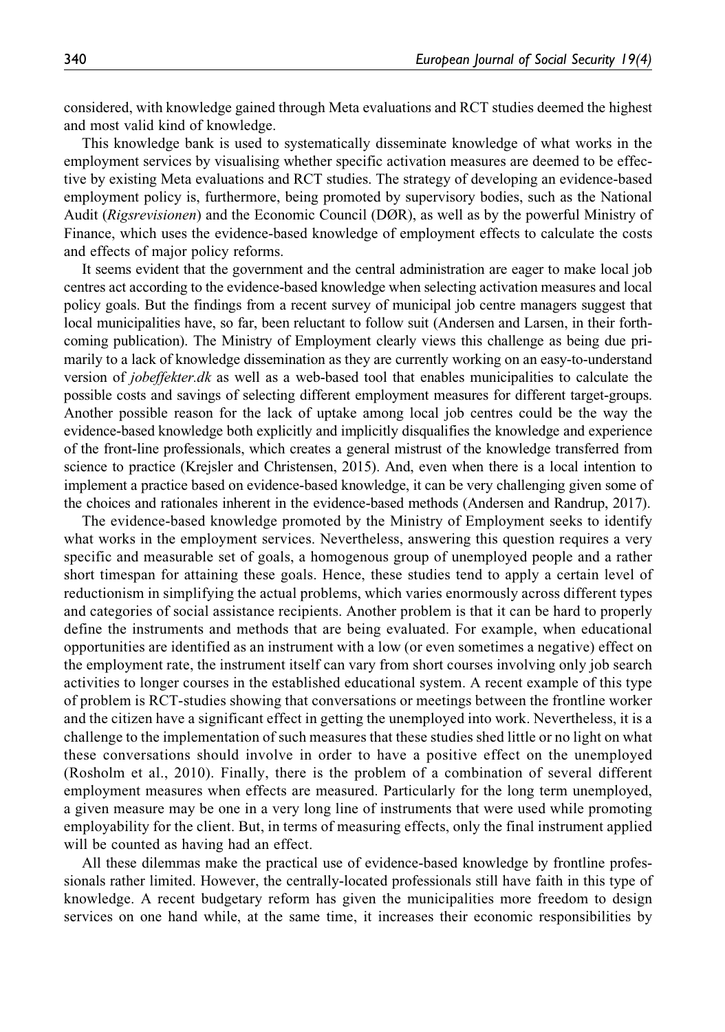considered, with knowledge gained through Meta evaluations and RCT studies deemed the highest and most valid kind of knowledge.

This knowledge bank is used to systematically disseminate knowledge of what works in the employment services by visualising whether specific activation measures are deemed to be effective by existing Meta evaluations and RCT studies. The strategy of developing an evidence-based employment policy is, furthermore, being promoted by supervisory bodies, such as the National Audit (Rigsrevisionen) and the Economic Council (DØR), as well as by the powerful Ministry of Finance, which uses the evidence-based knowledge of employment effects to calculate the costs and effects of major policy reforms.

It seems evident that the government and the central administration are eager to make local job centres act according to the evidence-based knowledge when selecting activation measures and local policy goals. But the findings from a recent survey of municipal job centre managers suggest that local municipalities have, so far, been reluctant to follow suit (Andersen and Larsen, in their forthcoming publication). The Ministry of Employment clearly views this challenge as being due primarily to a lack of knowledge dissemination as they are currently working on an easy-to-understand version of [jobeffekter.dk](http://jobeffekter.dk) as well as a web-based tool that enables municipalities to calculate the possible costs and savings of selecting different employment measures for different target-groups. Another possible reason for the lack of uptake among local job centres could be the way the evidence-based knowledge both explicitly and implicitly disqualifies the knowledge and experience of the front-line professionals, which creates a general mistrust of the knowledge transferred from science to practice (Krejsler and Christensen, 2015). And, even when there is a local intention to implement a practice based on evidence-based knowledge, it can be very challenging given some of the choices and rationales inherent in the evidence-based methods (Andersen and Randrup, 2017).

The evidence-based knowledge promoted by the Ministry of Employment seeks to identify what works in the employment services. Nevertheless, answering this question requires a very specific and measurable set of goals, a homogenous group of unemployed people and a rather short timespan for attaining these goals. Hence, these studies tend to apply a certain level of reductionism in simplifying the actual problems, which varies enormously across different types and categories of social assistance recipients. Another problem is that it can be hard to properly define the instruments and methods that are being evaluated. For example, when educational opportunities are identified as an instrument with a low (or even sometimes a negative) effect on the employment rate, the instrument itself can vary from short courses involving only job search activities to longer courses in the established educational system. A recent example of this type of problem is RCT-studies showing that conversations or meetings between the frontline worker and the citizen have a significant effect in getting the unemployed into work. Nevertheless, it is a challenge to the implementation of such measures that these studies shed little or no light on what these conversations should involve in order to have a positive effect on the unemployed (Rosholm et al., 2010). Finally, there is the problem of a combination of several different employment measures when effects are measured. Particularly for the long term unemployed, a given measure may be one in a very long line of instruments that were used while promoting employability for the client. But, in terms of measuring effects, only the final instrument applied will be counted as having had an effect.

All these dilemmas make the practical use of evidence-based knowledge by frontline professionals rather limited. However, the centrally-located professionals still have faith in this type of knowledge. A recent budgetary reform has given the municipalities more freedom to design services on one hand while, at the same time, it increases their economic responsibilities by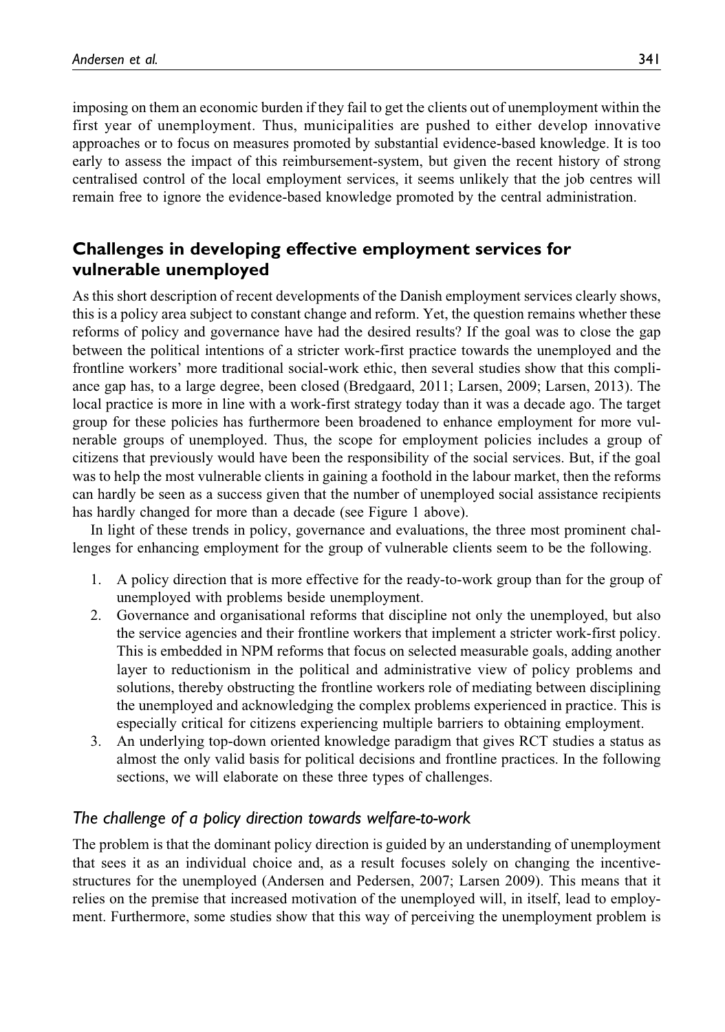imposing on them an economic burden if they fail to get the clients out of unemployment within the first year of unemployment. Thus, municipalities are pushed to either develop innovative approaches or to focus on measures promoted by substantial evidence-based knowledge. It is too early to assess the impact of this reimbursement-system, but given the recent history of strong centralised control of the local employment services, it seems unlikely that the job centres will remain free to ignore the evidence-based knowledge promoted by the central administration.

# Challenges in developing effective employment services for vulnerable unemployed

As this short description of recent developments of the Danish employment services clearly shows, this is a policy area subject to constant change and reform. Yet, the question remains whether these reforms of policy and governance have had the desired results? If the goal was to close the gap between the political intentions of a stricter work-first practice towards the unemployed and the frontline workers' more traditional social-work ethic, then several studies show that this compliance gap has, to a large degree, been closed (Bredgaard, 2011; Larsen, 2009; Larsen, 2013). The local practice is more in line with a work-first strategy today than it was a decade ago. The target group for these policies has furthermore been broadened to enhance employment for more vulnerable groups of unemployed. Thus, the scope for employment policies includes a group of citizens that previously would have been the responsibility of the social services. But, if the goal was to help the most vulnerable clients in gaining a foothold in the labour market, then the reforms can hardly be seen as a success given that the number of unemployed social assistance recipients has hardly changed for more than a decade (see Figure 1 above).

In light of these trends in policy, governance and evaluations, the three most prominent challenges for enhancing employment for the group of vulnerable clients seem to be the following.

- 1. A policy direction that is more effective for the ready-to-work group than for the group of unemployed with problems beside unemployment.
- 2. Governance and organisational reforms that discipline not only the unemployed, but also the service agencies and their frontline workers that implement a stricter work-first policy. This is embedded in NPM reforms that focus on selected measurable goals, adding another layer to reductionism in the political and administrative view of policy problems and solutions, thereby obstructing the frontline workers role of mediating between disciplining the unemployed and acknowledging the complex problems experienced in practice. This is especially critical for citizens experiencing multiple barriers to obtaining employment.
- 3. An underlying top-down oriented knowledge paradigm that gives RCT studies a status as almost the only valid basis for political decisions and frontline practices. In the following sections, we will elaborate on these three types of challenges.

## The challenge of a policy direction towards welfare-to-work

The problem is that the dominant policy direction is guided by an understanding of unemployment that sees it as an individual choice and, as a result focuses solely on changing the incentivestructures for the unemployed (Andersen and Pedersen, 2007; Larsen 2009). This means that it relies on the premise that increased motivation of the unemployed will, in itself, lead to employment. Furthermore, some studies show that this way of perceiving the unemployment problem is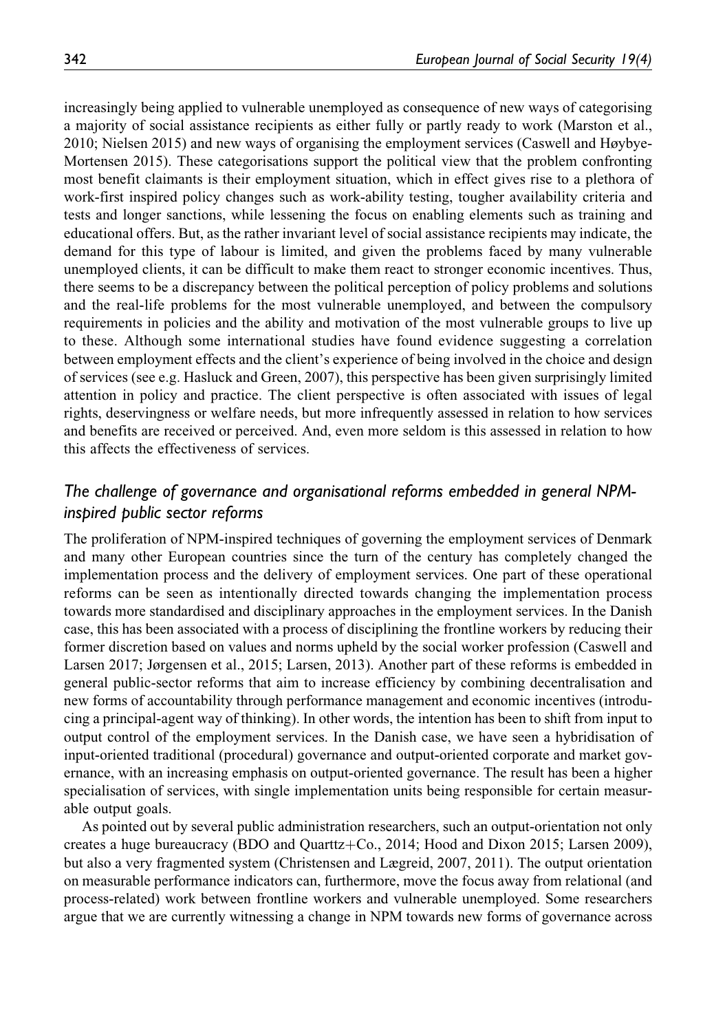increasingly being applied to vulnerable unemployed as consequence of new ways of categorising a majority of social assistance recipients as either fully or partly ready to work (Marston et al., 2010; Nielsen 2015) and new ways of organising the employment services (Caswell and Høybye-Mortensen 2015). These categorisations support the political view that the problem confronting most benefit claimants is their employment situation, which in effect gives rise to a plethora of work-first inspired policy changes such as work-ability testing, tougher availability criteria and tests and longer sanctions, while lessening the focus on enabling elements such as training and educational offers. But, as the rather invariant level of social assistance recipients may indicate, the demand for this type of labour is limited, and given the problems faced by many vulnerable unemployed clients, it can be difficult to make them react to stronger economic incentives. Thus, there seems to be a discrepancy between the political perception of policy problems and solutions and the real-life problems for the most vulnerable unemployed, and between the compulsory requirements in policies and the ability and motivation of the most vulnerable groups to live up to these. Although some international studies have found evidence suggesting a correlation between employment effects and the client's experience of being involved in the choice and design of services (see e.g. Hasluck and Green, 2007), this perspective has been given surprisingly limited attention in policy and practice. The client perspective is often associated with issues of legal rights, deservingness or welfare needs, but more infrequently assessed in relation to how services and benefits are received or perceived. And, even more seldom is this assessed in relation to how this affects the effectiveness of services.

# The challenge of governance and organisational reforms embedded in general NPMinspired public sector reforms

The proliferation of NPM-inspired techniques of governing the employment services of Denmark and many other European countries since the turn of the century has completely changed the implementation process and the delivery of employment services. One part of these operational reforms can be seen as intentionally directed towards changing the implementation process towards more standardised and disciplinary approaches in the employment services. In the Danish case, this has been associated with a process of disciplining the frontline workers by reducing their former discretion based on values and norms upheld by the social worker profession (Caswell and Larsen 2017; Jørgensen et al., 2015; Larsen, 2013). Another part of these reforms is embedded in general public-sector reforms that aim to increase efficiency by combining decentralisation and new forms of accountability through performance management and economic incentives (introducing a principal-agent way of thinking). In other words, the intention has been to shift from input to output control of the employment services. In the Danish case, we have seen a hybridisation of input-oriented traditional (procedural) governance and output-oriented corporate and market governance, with an increasing emphasis on output-oriented governance. The result has been a higher specialisation of services, with single implementation units being responsible for certain measurable output goals.

As pointed out by several public administration researchers, such an output-orientation not only creates a huge bureaucracy (BDO and Ouarttz+Co., 2014; Hood and Dixon 2015; Larsen 2009), but also a very fragmented system (Christensen and Lægreid, 2007, 2011). The output orientation on measurable performance indicators can, furthermore, move the focus away from relational (and process-related) work between frontline workers and vulnerable unemployed. Some researchers argue that we are currently witnessing a change in NPM towards new forms of governance across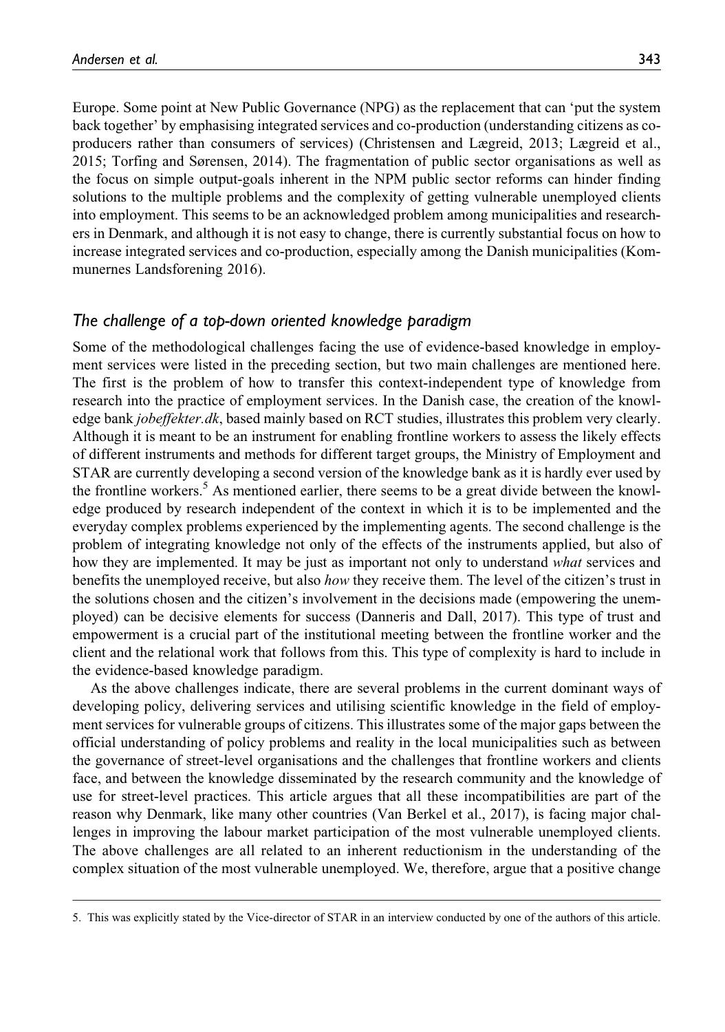Europe. Some point at New Public Governance (NPG) as the replacement that can 'put the system back together' by emphasising integrated services and co-production (understanding citizens as coproducers rather than consumers of services) (Christensen and Lægreid, 2013; Lægreid et al., 2015; Torfing and Sørensen, 2014). The fragmentation of public sector organisations as well as the focus on simple output-goals inherent in the NPM public sector reforms can hinder finding solutions to the multiple problems and the complexity of getting vulnerable unemployed clients into employment. This seems to be an acknowledged problem among municipalities and researchers in Denmark, and although it is not easy to change, there is currently substantial focus on how to increase integrated services and co-production, especially among the Danish municipalities (Kommunernes Landsforening 2016).

### The challenge of a top-down oriented knowledge paradigm

Some of the methodological challenges facing the use of evidence-based knowledge in employment services were listed in the preceding section, but two main challenges are mentioned here. The first is the problem of how to transfer this context-independent type of knowledge from research into the practice of employment services. In the Danish case, the creation of the knowledge bank *[jobeffekter.dk](http://jobeffekter.dk)*, based mainly based on RCT studies, illustrates this problem very clearly. Although it is meant to be an instrument for enabling frontline workers to assess the likely effects of different instruments and methods for different target groups, the Ministry of Employment and STAR are currently developing a second version of the knowledge bank as it is hardly ever used by the frontline workers. $5$  As mentioned earlier, there seems to be a great divide between the knowledge produced by research independent of the context in which it is to be implemented and the everyday complex problems experienced by the implementing agents. The second challenge is the problem of integrating knowledge not only of the effects of the instruments applied, but also of how they are implemented. It may be just as important not only to understand *what* services and benefits the unemployed receive, but also *how* they receive them. The level of the citizen's trust in the solutions chosen and the citizen's involvement in the decisions made (empowering the unemployed) can be decisive elements for success (Danneris and Dall, 2017). This type of trust and empowerment is a crucial part of the institutional meeting between the frontline worker and the client and the relational work that follows from this. This type of complexity is hard to include in the evidence-based knowledge paradigm.

As the above challenges indicate, there are several problems in the current dominant ways of developing policy, delivering services and utilising scientific knowledge in the field of employment services for vulnerable groups of citizens. This illustrates some of the major gaps between the official understanding of policy problems and reality in the local municipalities such as between the governance of street-level organisations and the challenges that frontline workers and clients face, and between the knowledge disseminated by the research community and the knowledge of use for street-level practices. This article argues that all these incompatibilities are part of the reason why Denmark, like many other countries (Van Berkel et al., 2017), is facing major challenges in improving the labour market participation of the most vulnerable unemployed clients. The above challenges are all related to an inherent reductionism in the understanding of the complex situation of the most vulnerable unemployed. We, therefore, argue that a positive change

<sup>5.</sup> This was explicitly stated by the Vice-director of STAR in an interview conducted by one of the authors of this article.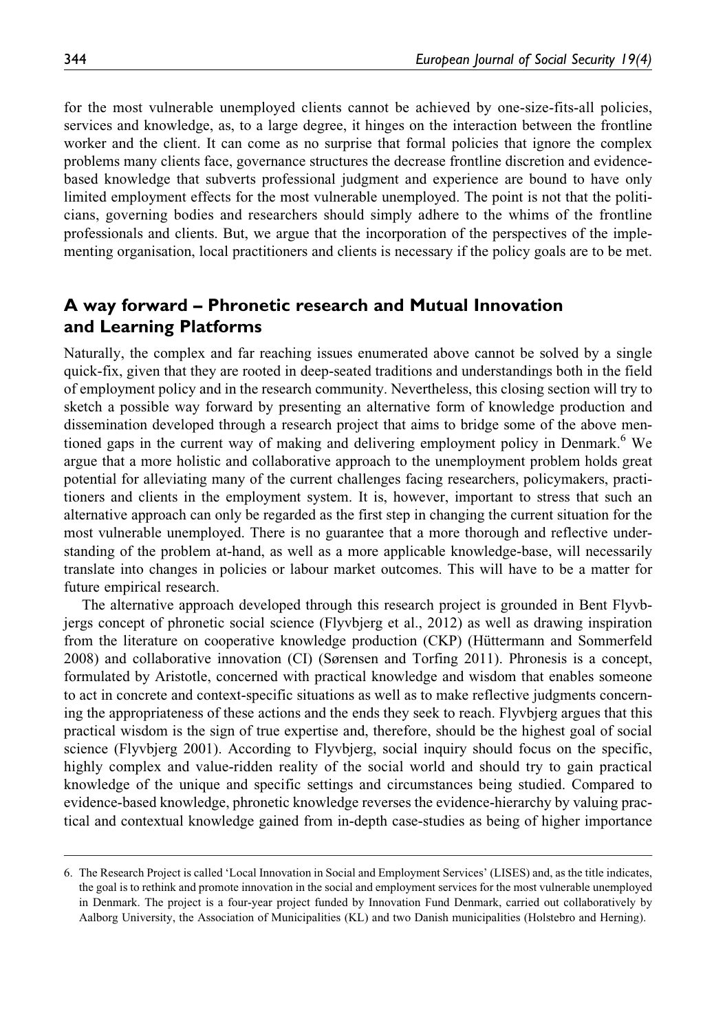for the most vulnerable unemployed clients cannot be achieved by one-size-fits-all policies, services and knowledge, as, to a large degree, it hinges on the interaction between the frontline worker and the client. It can come as no surprise that formal policies that ignore the complex problems many clients face, governance structures the decrease frontline discretion and evidencebased knowledge that subverts professional judgment and experience are bound to have only limited employment effects for the most vulnerable unemployed. The point is not that the politicians, governing bodies and researchers should simply adhere to the whims of the frontline professionals and clients. But, we argue that the incorporation of the perspectives of the implementing organisation, local practitioners and clients is necessary if the policy goals are to be met.

# A way forward – Phronetic research and Mutual Innovation and Learning Platforms

Naturally, the complex and far reaching issues enumerated above cannot be solved by a single quick-fix, given that they are rooted in deep-seated traditions and understandings both in the field of employment policy and in the research community. Nevertheless, this closing section will try to sketch a possible way forward by presenting an alternative form of knowledge production and dissemination developed through a research project that aims to bridge some of the above mentioned gaps in the current way of making and delivering employment policy in Denmark.<sup>6</sup> We argue that a more holistic and collaborative approach to the unemployment problem holds great potential for alleviating many of the current challenges facing researchers, policymakers, practitioners and clients in the employment system. It is, however, important to stress that such an alternative approach can only be regarded as the first step in changing the current situation for the most vulnerable unemployed. There is no guarantee that a more thorough and reflective understanding of the problem at-hand, as well as a more applicable knowledge-base, will necessarily translate into changes in policies or labour market outcomes. This will have to be a matter for future empirical research.

The alternative approach developed through this research project is grounded in Bent Flyvbjergs concept of phronetic social science (Flyvbjerg et al., 2012) as well as drawing inspiration from the literature on cooperative knowledge production (CKP) (Hüttermann and Sommerfeld 2008) and collaborative innovation (CI) (Sørensen and Torfing 2011). Phronesis is a concept, formulated by Aristotle, concerned with practical knowledge and wisdom that enables someone to act in concrete and context-specific situations as well as to make reflective judgments concerning the appropriateness of these actions and the ends they seek to reach. Flyvbjerg argues that this practical wisdom is the sign of true expertise and, therefore, should be the highest goal of social science (Flyvbjerg 2001). According to Flyvbjerg, social inquiry should focus on the specific, highly complex and value-ridden reality of the social world and should try to gain practical knowledge of the unique and specific settings and circumstances being studied. Compared to evidence-based knowledge, phronetic knowledge reverses the evidence-hierarchy by valuing practical and contextual knowledge gained from in-depth case-studies as being of higher importance

<sup>6.</sup> The Research Project is called 'Local Innovation in Social and Employment Services' (LISES) and, as the title indicates, the goal is to rethink and promote innovation in the social and employment services for the most vulnerable unemployed in Denmark. The project is a four-year project funded by Innovation Fund Denmark, carried out collaboratively by Aalborg University, the Association of Municipalities (KL) and two Danish municipalities (Holstebro and Herning).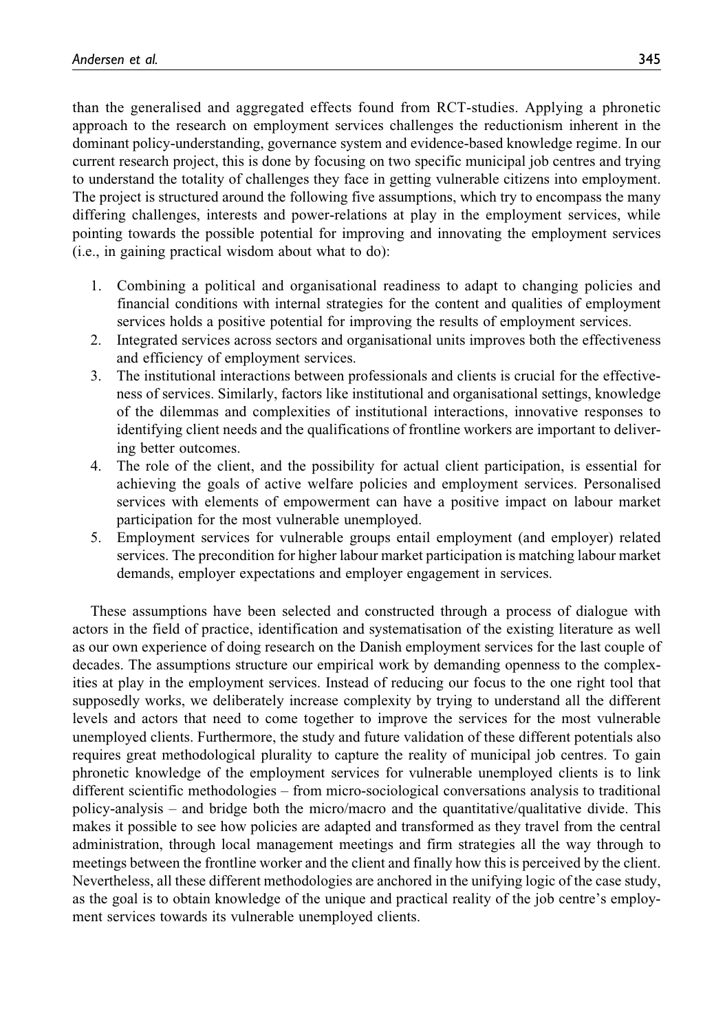than the generalised and aggregated effects found from RCT-studies. Applying a phronetic approach to the research on employment services challenges the reductionism inherent in the dominant policy-understanding, governance system and evidence-based knowledge regime. In our current research project, this is done by focusing on two specific municipal job centres and trying to understand the totality of challenges they face in getting vulnerable citizens into employment. The project is structured around the following five assumptions, which try to encompass the many differing challenges, interests and power-relations at play in the employment services, while pointing towards the possible potential for improving and innovating the employment services (i.e., in gaining practical wisdom about what to do):

- 1. Combining a political and organisational readiness to adapt to changing policies and financial conditions with internal strategies for the content and qualities of employment services holds a positive potential for improving the results of employment services.
- 2. Integrated services across sectors and organisational units improves both the effectiveness and efficiency of employment services.
- 3. The institutional interactions between professionals and clients is crucial for the effectiveness of services. Similarly, factors like institutional and organisational settings, knowledge of the dilemmas and complexities of institutional interactions, innovative responses to identifying client needs and the qualifications of frontline workers are important to delivering better outcomes.
- 4. The role of the client, and the possibility for actual client participation, is essential for achieving the goals of active welfare policies and employment services. Personalised services with elements of empowerment can have a positive impact on labour market participation for the most vulnerable unemployed.
- 5. Employment services for vulnerable groups entail employment (and employer) related services. The precondition for higher labour market participation is matching labour market demands, employer expectations and employer engagement in services.

These assumptions have been selected and constructed through a process of dialogue with actors in the field of practice, identification and systematisation of the existing literature as well as our own experience of doing research on the Danish employment services for the last couple of decades. The assumptions structure our empirical work by demanding openness to the complexities at play in the employment services. Instead of reducing our focus to the one right tool that supposedly works, we deliberately increase complexity by trying to understand all the different levels and actors that need to come together to improve the services for the most vulnerable unemployed clients. Furthermore, the study and future validation of these different potentials also requires great methodological plurality to capture the reality of municipal job centres. To gain phronetic knowledge of the employment services for vulnerable unemployed clients is to link different scientific methodologies – from micro-sociological conversations analysis to traditional policy-analysis – and bridge both the micro/macro and the quantitative/qualitative divide. This makes it possible to see how policies are adapted and transformed as they travel from the central administration, through local management meetings and firm strategies all the way through to meetings between the frontline worker and the client and finally how this is perceived by the client. Nevertheless, all these different methodologies are anchored in the unifying logic of the case study, as the goal is to obtain knowledge of the unique and practical reality of the job centre's employment services towards its vulnerable unemployed clients.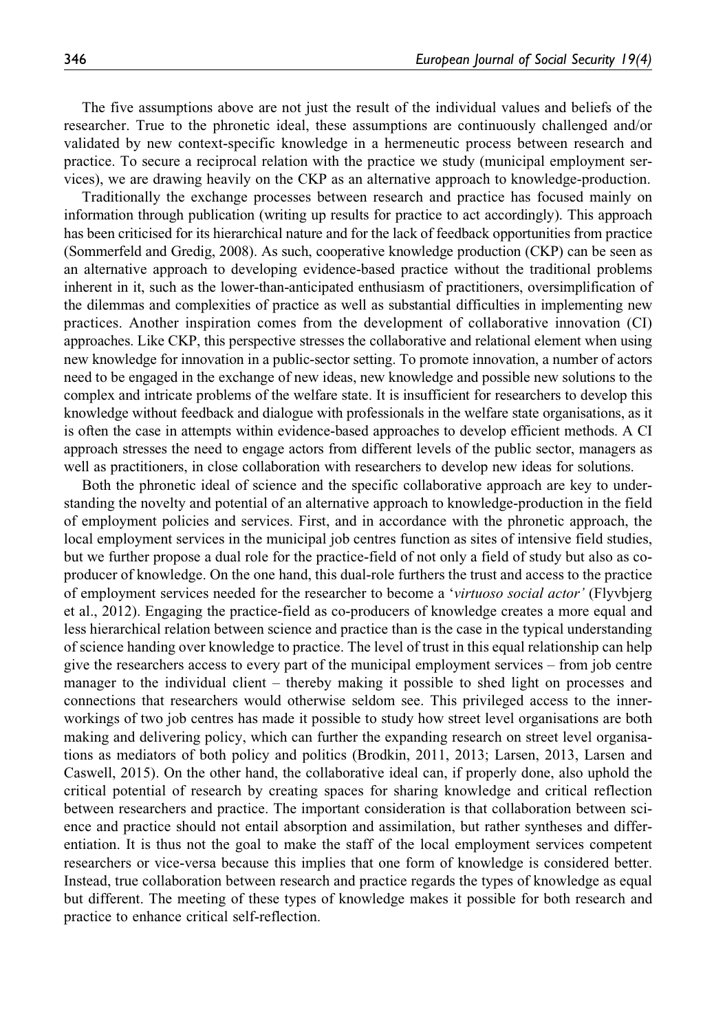The five assumptions above are not just the result of the individual values and beliefs of the researcher. True to the phronetic ideal, these assumptions are continuously challenged and/or validated by new context-specific knowledge in a hermeneutic process between research and practice. To secure a reciprocal relation with the practice we study (municipal employment services), we are drawing heavily on the CKP as an alternative approach to knowledge-production.

Traditionally the exchange processes between research and practice has focused mainly on information through publication (writing up results for practice to act accordingly). This approach has been criticised for its hierarchical nature and for the lack of feedback opportunities from practice (Sommerfeld and Gredig, 2008). As such, cooperative knowledge production (CKP) can be seen as an alternative approach to developing evidence-based practice without the traditional problems inherent in it, such as the lower-than-anticipated enthusiasm of practitioners, oversimplification of the dilemmas and complexities of practice as well as substantial difficulties in implementing new practices. Another inspiration comes from the development of collaborative innovation (CI) approaches. Like CKP, this perspective stresses the collaborative and relational element when using new knowledge for innovation in a public-sector setting. To promote innovation, a number of actors need to be engaged in the exchange of new ideas, new knowledge and possible new solutions to the complex and intricate problems of the welfare state. It is insufficient for researchers to develop this knowledge without feedback and dialogue with professionals in the welfare state organisations, as it is often the case in attempts within evidence-based approaches to develop efficient methods. A CI approach stresses the need to engage actors from different levels of the public sector, managers as well as practitioners, in close collaboration with researchers to develop new ideas for solutions.

Both the phronetic ideal of science and the specific collaborative approach are key to understanding the novelty and potential of an alternative approach to knowledge-production in the field of employment policies and services. First, and in accordance with the phronetic approach, the local employment services in the municipal job centres function as sites of intensive field studies, but we further propose a dual role for the practice-field of not only a field of study but also as coproducer of knowledge. On the one hand, this dual-role furthers the trust and access to the practice of employment services needed for the researcher to become a 'virtuoso social actor' (Flyvbjerg et al., 2012). Engaging the practice-field as co-producers of knowledge creates a more equal and less hierarchical relation between science and practice than is the case in the typical understanding of science handing over knowledge to practice. The level of trust in this equal relationship can help give the researchers access to every part of the municipal employment services – from job centre manager to the individual client – thereby making it possible to shed light on processes and connections that researchers would otherwise seldom see. This privileged access to the innerworkings of two job centres has made it possible to study how street level organisations are both making and delivering policy, which can further the expanding research on street level organisations as mediators of both policy and politics (Brodkin, 2011, 2013; Larsen, 2013, Larsen and Caswell, 2015). On the other hand, the collaborative ideal can, if properly done, also uphold the critical potential of research by creating spaces for sharing knowledge and critical reflection between researchers and practice. The important consideration is that collaboration between science and practice should not entail absorption and assimilation, but rather syntheses and differentiation. It is thus not the goal to make the staff of the local employment services competent researchers or vice-versa because this implies that one form of knowledge is considered better. Instead, true collaboration between research and practice regards the types of knowledge as equal but different. The meeting of these types of knowledge makes it possible for both research and practice to enhance critical self-reflection.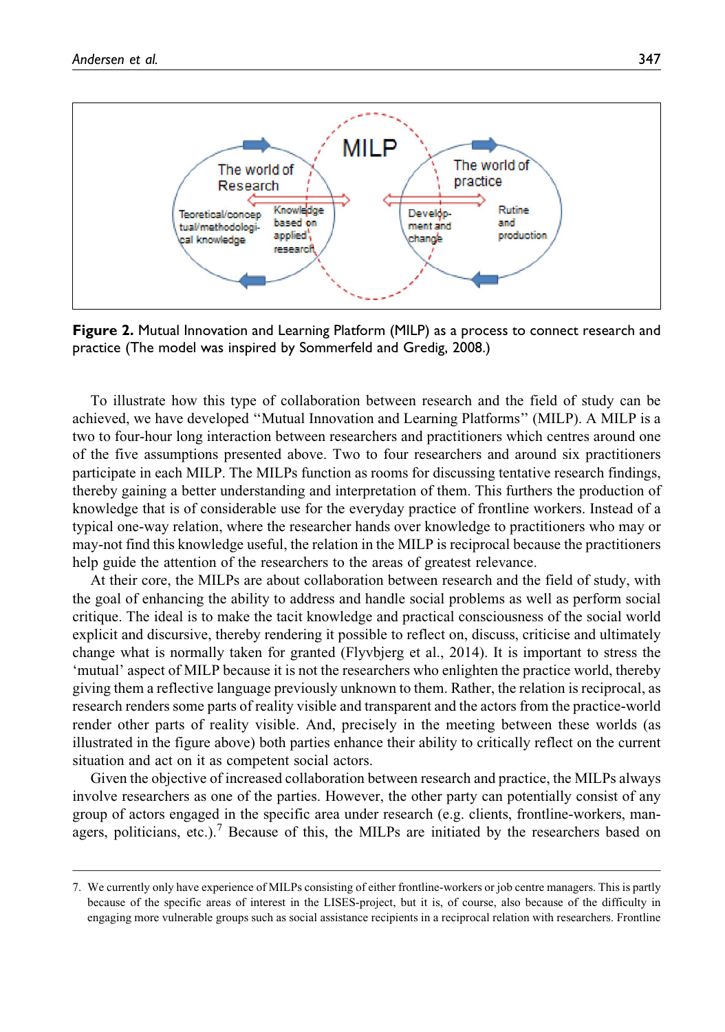

Figure 2. Mutual Innovation and Learning Platform (MILP) as a process to connect research and practice (The model was inspired by Sommerfeld and Gredig, 2008.)

To illustrate how this type of collaboration between research and the field of study can be achieved, we have developed ''Mutual Innovation and Learning Platforms'' (MILP). A MILP is a two to four-hour long interaction between researchers and practitioners which centres around one of the five assumptions presented above. Two to four researchers and around six practitioners participate in each MILP. The MILPs function as rooms for discussing tentative research findings, thereby gaining a better understanding and interpretation of them. This furthers the production of knowledge that is of considerable use for the everyday practice of frontline workers. Instead of a typical one-way relation, where the researcher hands over knowledge to practitioners who may or may-not find this knowledge useful, the relation in the MILP is reciprocal because the practitioners help guide the attention of the researchers to the areas of greatest relevance.

At their core, the MILPs are about collaboration between research and the field of study, with the goal of enhancing the ability to address and handle social problems as well as perform social critique. The ideal is to make the tacit knowledge and practical consciousness of the social world explicit and discursive, thereby rendering it possible to reflect on, discuss, criticise and ultimately change what is normally taken for granted (Flyvbjerg et al., 2014). It is important to stress the 'mutual' aspect of MILP because it is not the researchers who enlighten the practice world, thereby giving them a reflective language previously unknown to them. Rather, the relation is reciprocal, as research renders some parts of reality visible and transparent and the actors from the practice-world render other parts of reality visible. And, precisely in the meeting between these worlds (as illustrated in the figure above) both parties enhance their ability to critically reflect on the current situation and act on it as competent social actors.

Given the objective of increased collaboration between research and practice, the MILPs always involve researchers as one of the parties. However, the other party can potentially consist of any group of actors engaged in the specific area under research (e.g. clients, frontline-workers, managers, politicians, etc.).<sup>7</sup> Because of this, the MILPs are initiated by the researchers based on

<sup>7.</sup> We currently only have experience of MILPs consisting of either frontline-workers or job centre managers. This is partly because of the specific areas of interest in the LISES-project, but it is, of course, also because of the difficulty in engaging more vulnerable groups such as social assistance recipients in a reciprocal relation with researchers. Frontline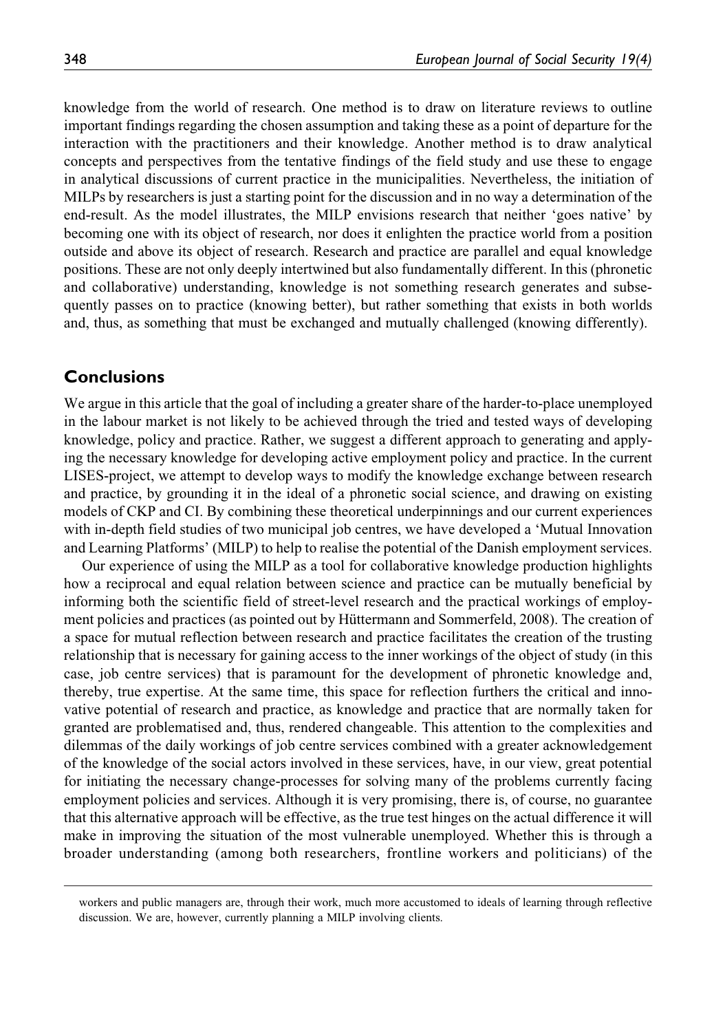knowledge from the world of research. One method is to draw on literature reviews to outline important findings regarding the chosen assumption and taking these as a point of departure for the interaction with the practitioners and their knowledge. Another method is to draw analytical concepts and perspectives from the tentative findings of the field study and use these to engage in analytical discussions of current practice in the municipalities. Nevertheless, the initiation of MILPs by researchers is just a starting point for the discussion and in no way a determination of the end-result. As the model illustrates, the MILP envisions research that neither 'goes native' by becoming one with its object of research, nor does it enlighten the practice world from a position outside and above its object of research. Research and practice are parallel and equal knowledge positions. These are not only deeply intertwined but also fundamentally different. In this (phronetic and collaborative) understanding, knowledge is not something research generates and subsequently passes on to practice (knowing better), but rather something that exists in both worlds and, thus, as something that must be exchanged and mutually challenged (knowing differently).

### **Conclusions**

We argue in this article that the goal of including a greater share of the harder-to-place unemployed in the labour market is not likely to be achieved through the tried and tested ways of developing knowledge, policy and practice. Rather, we suggest a different approach to generating and applying the necessary knowledge for developing active employment policy and practice. In the current LISES-project, we attempt to develop ways to modify the knowledge exchange between research and practice, by grounding it in the ideal of a phronetic social science, and drawing on existing models of CKP and CI. By combining these theoretical underpinnings and our current experiences with in-depth field studies of two municipal job centres, we have developed a 'Mutual Innovation and Learning Platforms' (MILP) to help to realise the potential of the Danish employment services.

Our experience of using the MILP as a tool for collaborative knowledge production highlights how a reciprocal and equal relation between science and practice can be mutually beneficial by informing both the scientific field of street-level research and the practical workings of employment policies and practices (as pointed out by Hüttermann and Sommerfeld, 2008). The creation of a space for mutual reflection between research and practice facilitates the creation of the trusting relationship that is necessary for gaining access to the inner workings of the object of study (in this case, job centre services) that is paramount for the development of phronetic knowledge and, thereby, true expertise. At the same time, this space for reflection furthers the critical and innovative potential of research and practice, as knowledge and practice that are normally taken for granted are problematised and, thus, rendered changeable. This attention to the complexities and dilemmas of the daily workings of job centre services combined with a greater acknowledgement of the knowledge of the social actors involved in these services, have, in our view, great potential for initiating the necessary change-processes for solving many of the problems currently facing employment policies and services. Although it is very promising, there is, of course, no guarantee that this alternative approach will be effective, as the true test hinges on the actual difference it will make in improving the situation of the most vulnerable unemployed. Whether this is through a broader understanding (among both researchers, frontline workers and politicians) of the

workers and public managers are, through their work, much more accustomed to ideals of learning through reflective discussion. We are, however, currently planning a MILP involving clients.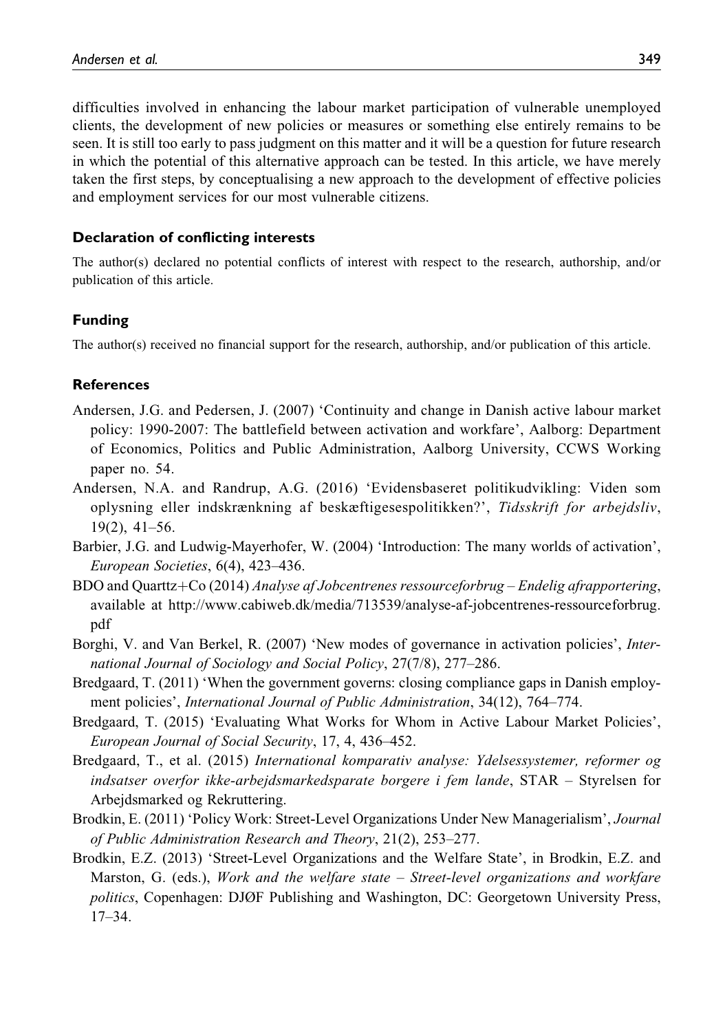difficulties involved in enhancing the labour market participation of vulnerable unemployed clients, the development of new policies or measures or something else entirely remains to be seen. It is still too early to pass judgment on this matter and it will be a question for future research in which the potential of this alternative approach can be tested. In this article, we have merely taken the first steps, by conceptualising a new approach to the development of effective policies and employment services for our most vulnerable citizens.

#### Declaration of conflicting interests

The author(s) declared no potential conflicts of interest with respect to the research, authorship, and/or publication of this article.

### Funding

The author(s) received no financial support for the research, authorship, and/or publication of this article.

### **References**

- Andersen, J.G. and Pedersen, J. (2007) 'Continuity and change in Danish active labour market policy: 1990-2007: The battlefield between activation and workfare', Aalborg: Department of Economics, Politics and Public Administration, Aalborg University, CCWS Working paper no. 54.
- Andersen, N.A. and Randrup, A.G. (2016) 'Evidensbaseret politikudvikling: Viden som oplysning eller indskrænkning af beskæftigesespolitikken?', Tidsskrift for arbejdsliv, 19(2), 41–56.
- Barbier, J.G. and Ludwig-Mayerhofer, W. (2004) 'Introduction: The many worlds of activation', European Societies, 6(4), 423–436.
- BDO and Quarttz+Co (2014) Analyse af Jobcentrenes ressourceforbrug Endelig afrapportering, available at [http://www.cabiweb.dk/media/713539/analyse-af-jobcentrenes-ressourceforbrug.](http://www.cabiweb.dk/media/713539/analyse-af-jobcentrenes-ressourceforbrug.pdf) [pdf](http://www.cabiweb.dk/media/713539/analyse-af-jobcentrenes-ressourceforbrug.pdf)
- Borghi, V. and Van Berkel, R. (2007) 'New modes of governance in activation policies', International Journal of Sociology and Social Policy, 27(7/8), 277–286.
- Bredgaard, T. (2011) 'When the government governs: closing compliance gaps in Danish employment policies', International Journal of Public Administration, 34(12), 764–774.
- Bredgaard, T. (2015) 'Evaluating What Works for Whom in Active Labour Market Policies', European Journal of Social Security, 17, 4, 436–452.
- Bredgaard, T., et al. (2015) International komparativ analyse: Ydelsessystemer, reformer og indsatser overfor ikke-arbejdsmarkedsparate borgere i fem lande, STAR – Styrelsen for Arbejdsmarked og Rekruttering.
- Brodkin, E. (2011) 'Policy Work: Street-Level Organizations Under New Managerialism', *Journal* of Public Administration Research and Theory, 21(2), 253–277.
- Brodkin, E.Z. (2013) 'Street-Level Organizations and the Welfare State', in Brodkin, E.Z. and Marston, G. (eds.), Work and the welfare state – Street-level organizations and workfare politics, Copenhagen: DJØF Publishing and Washington, DC: Georgetown University Press, 17–34.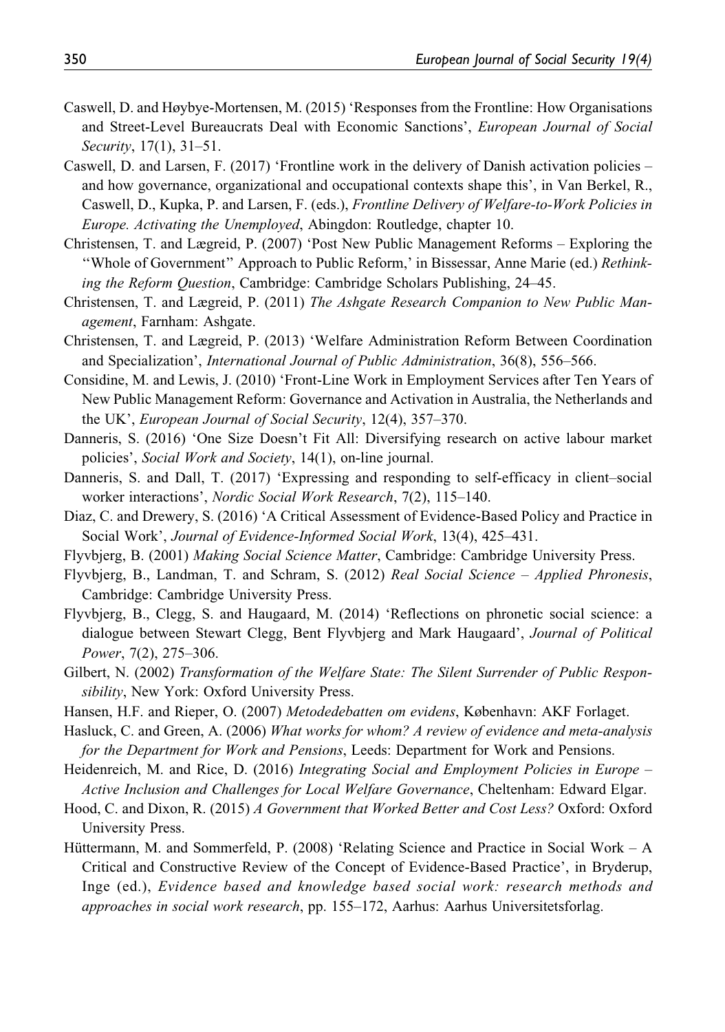- Caswell, D. and Høybye-Mortensen, M. (2015) 'Responses from the Frontline: How Organisations and Street-Level Bureaucrats Deal with Economic Sanctions', European Journal of Social Security, 17(1), 31–51.
- Caswell, D. and Larsen, F. (2017) 'Frontline work in the delivery of Danish activation policies and how governance, organizational and occupational contexts shape this', in Van Berkel, R., Caswell, D., Kupka, P. and Larsen, F. (eds.), Frontline Delivery of Welfare-to-Work Policies in Europe. Activating the Unemployed, Abingdon: Routledge, chapter 10.
- Christensen, T. and Lægreid, P. (2007) 'Post New Public Management Reforms Exploring the ''Whole of Government'' Approach to Public Reform,' in Bissessar, Anne Marie (ed.) Rethinking the Reform Question, Cambridge: Cambridge Scholars Publishing, 24–45.
- Christensen, T. and Lægreid, P. (2011) The Ashgate Research Companion to New Public Management, Farnham: Ashgate.
- Christensen, T. and Lægreid, P. (2013) 'Welfare Administration Reform Between Coordination and Specialization', International Journal of Public Administration, 36(8), 556–566.
- Considine, M. and Lewis, J. (2010) 'Front-Line Work in Employment Services after Ten Years of New Public Management Reform: Governance and Activation in Australia, the Netherlands and the UK', European Journal of Social Security, 12(4), 357–370.
- Danneris, S. (2016) 'One Size Doesn't Fit All: Diversifying research on active labour market policies', Social Work and Society, 14(1), on-line journal.
- Danneris, S. and Dall, T. (2017) 'Expressing and responding to self-efficacy in client–social worker interactions', Nordic Social Work Research, 7(2), 115–140.
- Diaz, C. and Drewery, S. (2016) 'A Critical Assessment of Evidence-Based Policy and Practice in Social Work', Journal of Evidence-Informed Social Work, 13(4), 425–431.
- Flyvbjerg, B. (2001) Making Social Science Matter, Cambridge: Cambridge University Press.
- Flyvbjerg, B., Landman, T. and Schram, S. (2012) Real Social Science Applied Phronesis, Cambridge: Cambridge University Press.
- Flyvbjerg, B., Clegg, S. and Haugaard, M. (2014) 'Reflections on phronetic social science: a dialogue between Stewart Clegg, Bent Flyvbjerg and Mark Haugaard', Journal of Political Power, 7(2), 275–306.
- Gilbert, N. (2002) Transformation of the Welfare State: The Silent Surrender of Public Responsibility, New York: Oxford University Press.
- Hansen, H.F. and Rieper, O. (2007) Metodedebatten om evidens, København: AKF Forlaget.
- Hasluck, C. and Green, A. (2006) What works for whom? A review of evidence and meta-analysis for the Department for Work and Pensions, Leeds: Department for Work and Pensions.
- Heidenreich, M. and Rice, D. (2016) Integrating Social and Employment Policies in Europe Active Inclusion and Challenges for Local Welfare Governance, Cheltenham: Edward Elgar.
- Hood, C. and Dixon, R. (2015) A Government that Worked Better and Cost Less? Oxford: Oxford University Press.
- Hüttermann, M. and Sommerfeld, P. (2008) 'Relating Science and Practice in Social Work A Critical and Constructive Review of the Concept of Evidence-Based Practice', in Bryderup, Inge (ed.), Evidence based and knowledge based social work: research methods and approaches in social work research, pp. 155–172, Aarhus: Aarhus Universitetsforlag.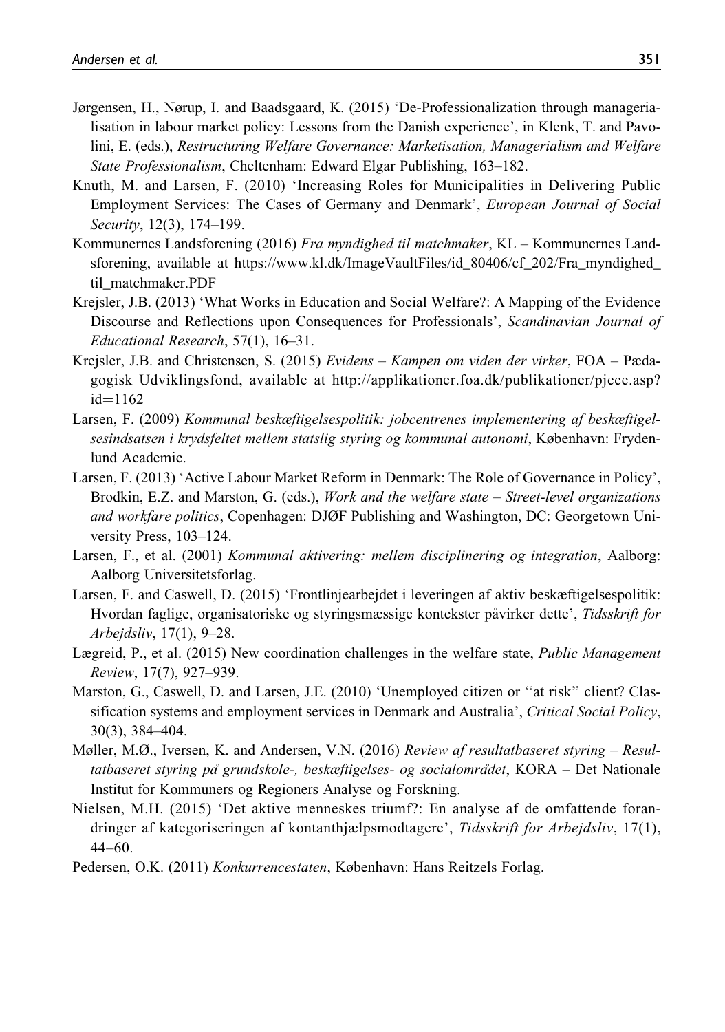- Jørgensen, H., Nørup, I. and Baadsgaard, K. (2015) 'De-Professionalization through managerialisation in labour market policy: Lessons from the Danish experience', in Klenk, T. and Pavolini, E. (eds.), Restructuring Welfare Governance: Marketisation, Managerialism and Welfare State Professionalism, Cheltenham: Edward Elgar Publishing, 163–182.
- Knuth, M. and Larsen, F. (2010) 'Increasing Roles for Municipalities in Delivering Public Employment Services: The Cases of Germany and Denmark', European Journal of Social Security, 12(3), 174–199.
- Kommunernes Landsforening (2016) Fra myndighed til matchmaker, KL Kommunernes Landsforening, available at https://www.kl.dk/ImageVaultFiles/id 80406/cf 202/Fra myndighed [til\\_matchmaker.PDF](https://www.kl.dk/ImageVaultFiles/id_80406/cf_202/Fra_myndighed_til_matchmaker.PDF)
- Krejsler, J.B. (2013) 'What Works in Education and Social Welfare?: A Mapping of the Evidence Discourse and Reflections upon Consequences for Professionals', Scandinavian Journal of Educational Research, 57(1), 16–31.
- Krejsler, J.B. and Christensen, S. (2015) Evidens Kampen om viden der virker, FOA Pædagogisk Udviklingsfond, available at [http://applikationer.foa.dk/publikationer/pjece.asp?](http://applikationer.foa.dk/publikationer/pjece.asp? id=1162)  $id = 1162$  $id = 1162$  $id = 1162$
- Larsen, F. (2009) Kommunal beskæftigelsespolitik: jobcentrenes implementering af beskæftigelsesindsatsen i krydsfeltet mellem statslig styring og kommunal autonomi, København: Frydenlund Academic.
- Larsen, F. (2013) 'Active Labour Market Reform in Denmark: The Role of Governance in Policy', Brodkin, E.Z. and Marston, G. (eds.), Work and the welfare state – Street-level organizations and workfare politics, Copenhagen: DJØF Publishing and Washington, DC: Georgetown University Press, 103–124.
- Larsen, F., et al. (2001) Kommunal aktivering: mellem disciplinering og integration, Aalborg: Aalborg Universitetsforlag.
- Larsen, F. and Caswell, D. (2015) 'Frontlinjearbejdet i leveringen af aktiv beskæftigelsespolitik: Hvordan faglige, organisatoriske og styringsmæssige kontekster påvirker dette', Tidsskrift for Arbejdsliv, 17(1), 9–28.
- Lægreid, P., et al. (2015) New coordination challenges in the welfare state, *Public Management* Review, 17(7), 927–939.
- Marston, G., Caswell, D. and Larsen, J.E. (2010) 'Unemployed citizen or "at risk" client? Classification systems and employment services in Denmark and Australia', Critical Social Policy, 30(3), 384–404.
- Møller, M.Ø., Iversen, K. and Andersen, V.N. (2016) Review af resultatbaseret styring Resultatbaseret styring på grundskole-, beskæftigelses- og socialområdet, KORA – Det Nationale Institut for Kommuners og Regioners Analyse og Forskning.
- Nielsen, M.H. (2015) 'Det aktive menneskes triumf?: En analyse af de omfattende forandringer af kategoriseringen af kontanthjælpsmodtagere', Tidsskrift for Arbejdsliv, 17(1), 44–60.
- Pedersen, O.K. (2011) Konkurrencestaten, København: Hans Reitzels Forlag.